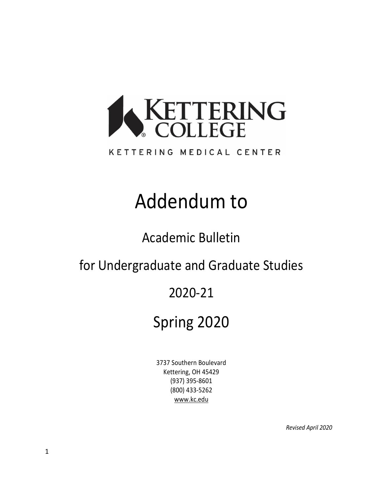

### KETTERING MEDICAL CENTER

# Addendum to

Academic Bulletin

for Undergraduate and Graduate Studies

### 2020-21

# Spring 2020

3737 Southern Boulevard Kettering, OH 45429 (937) 395-8601 (800) 433-5262 [www.kc.edu](http://www.kc.edu/)

*Revised April 2020*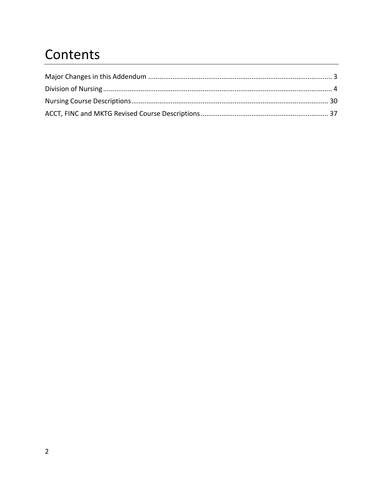## Contents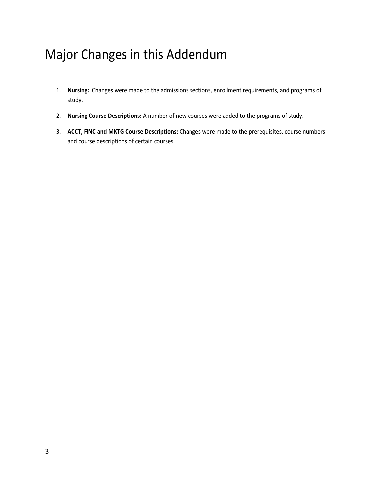### <span id="page-2-0"></span>Major Changes in this Addendum

- 1. **Nursing:** Changes were made to the admissions sections, enrollment requirements, and programs of study.
- 2. **Nursing Course Descriptions:** A number of new courses were added to the programs of study.
- 3. **ACCT, FINC and MKTG Course Descriptions:** Changes were made to the prerequisites, course numbers and course descriptions of certain courses.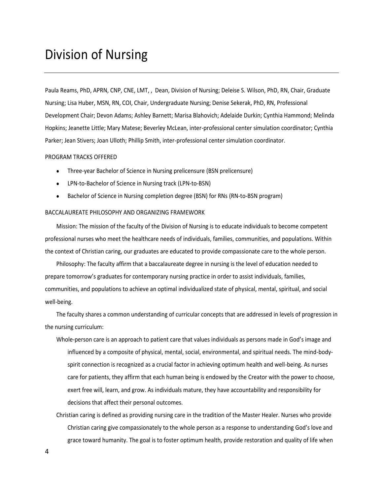### <span id="page-3-0"></span>Division of Nursing

Paula Reams, PhD, APRN, CNP, CNE, LMT, , Dean, Division of Nursing; Deleise S. Wilson, PhD, RN, Chair, Graduate Nursing; Lisa Huber, MSN, RN, COI, Chair, Undergraduate Nursing; Denise Sekerak, PhD, RN, Professional Development Chair; Devon Adams; Ashley Barnett; Marisa Blahovich; Adelaide Durkin; Cynthia Hammond; Melinda Hopkins; Jeanette Little; Mary Matese; Beverley McLean, inter-professional center simulation coordinator; Cynthia Parker; Jean Stivers; Joan Ulloth; Phillip Smith, inter-professional center simulation coordinator.

#### PROGRAM TRACKS OFFERED

- Three-year Bachelor of Science in Nursing prelicensure (BSN prelicensure)
- LPN-to-Bachelor of Science in Nursing track (LPN-to-BSN)
- Bachelor of Science in Nursing completion degree (BSN) for RNs (RN-to-BSN program)

#### BACCALAUREATE PHILOSOPHY AND ORGANIZING FRAMEWORK

Mission: The mission of the faculty of the Division of Nursing is to educate individuals to become competent professional nurses who meet the healthcare needs of individuals, families, communities, and populations. Within the context of Christian caring, our graduates are educated to provide compassionate care to the whole person.

Philosophy: The faculty affirm that a baccalaureate degree in nursing is the level of education needed to prepare tomorrow's graduates for contemporary nursing practice in order to assist individuals, families, communities, and populations to achieve an optimal individualized state of physical, mental, spiritual, and social well-being.

The faculty shares a common understanding of curricular concepts that are addressed in levels of progression in the nursing curriculum:

- Whole-person care is an approach to patient care that values individuals as persons made in God's image and influenced by a composite of physical, mental, social, environmental, and spiritual needs. The mind-bodyspirit connection is recognized as a crucial factor in achieving optimum health and well-being. As nurses care for patients, they affirm that each human being is endowed by the Creator with the power to choose, exert free will, learn, and grow. As individuals mature, they have accountability and responsibility for decisions that affect their personal outcomes.
- Christian caring is defined as providing nursing care in the tradition of the Master Healer. Nurses who provide Christian caring give compassionately to the whole person as a response to understanding God's love and grace toward humanity. The goal is to foster optimum health, provide restoration and quality of life when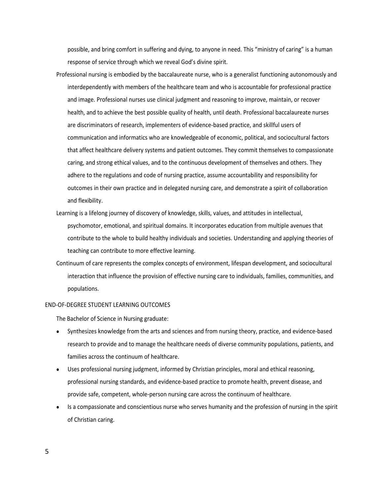possible, and bring comfort in suffering and dying, to anyone in need. This "ministry of caring" is a human response of service through which we reveal God's divine spirit.

- Professional nursing is embodied by the baccalaureate nurse, who is a generalist functioning autonomously and interdependently with members of the healthcare team and who is accountable for professional practice and image. Professional nurses use clinical judgment and reasoning to improve, maintain, or recover health, and to achieve the best possible quality of health, until death. Professional baccalaureate nurses are discriminators of research, implementers of evidence-based practice, and skillful users of communication and informatics who are knowledgeable of economic, political, and sociocultural factors that affect healthcare delivery systems and patient outcomes. They commit themselves to compassionate caring, and strong ethical values, and to the continuous development of themselves and others. They adhere to the regulations and code of nursing practice, assume accountability and responsibility for outcomes in their own practice and in delegated nursing care, and demonstrate a spirit of collaboration and flexibility.
- Learning is a lifelong journey of discovery of knowledge, skills, values, and attitudes in intellectual, psychomotor, emotional, and spiritual domains. It incorporates education from multiple avenues that contribute to the whole to build healthy individuals and societies. Understanding and applying theories of teaching can contribute to more effective learning.
- Continuum of care represents the complex concepts of environment, lifespan development, and sociocultural interaction that influence the provision of effective nursing care to individuals, families, communities, and populations.

#### END-OF-DEGREE STUDENT LEARNING OUTCOMES

The Bachelor of Science in Nursing graduate:

- Synthesizes knowledge from the arts and sciences and from nursing theory, practice, and evidence-based research to provide and to manage the healthcare needs of diverse community populations, patients, and families across the continuum of healthcare.
- Uses professional nursing judgment, informed by Christian principles, moral and ethical reasoning, professional nursing standards, and evidence-based practice to promote health, prevent disease, and provide safe, competent, whole-person nursing care across the continuum of healthcare.
- Is a compassionate and conscientious nurse who serves humanity and the profession of nursing in the spirit of Christian caring.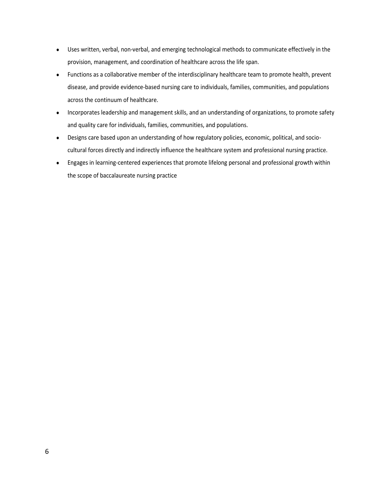- Uses written, verbal, non-verbal, and emerging technological methods to communicate effectively in the provision, management, and coordination of healthcare across the life span.
- Functions as a collaborative member of the interdisciplinary healthcare team to promote health, prevent disease, and provide evidence-based nursing care to individuals, families, communities, and populations across the continuum of healthcare.
- Incorporates leadership and management skills, and an understanding of organizations, to promote safety and quality care for individuals, families, communities, and populations.
- Designs care based upon an understanding of how regulatory policies, economic, political, and sociocultural forces directly and indirectly influence the healthcare system and professional nursing practice.
- Engages in learning-centered experiences that promote lifelong personal and professional growth within the scope of baccalaureate nursing practice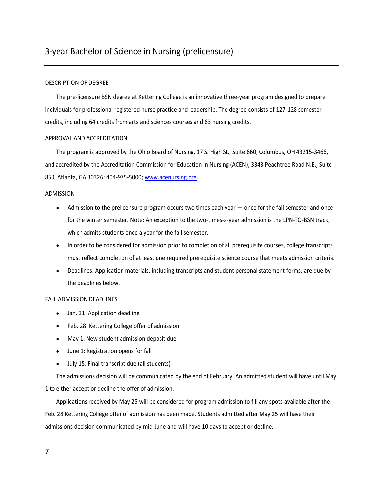#### DESCRIPTION OF DEGREE

The pre-licensure BSN degree at Kettering College is an innovative three-year program designed to prepare individuals for professional registered nurse practice and leadership. The degree consists of 127-128 semester credits, including 64 credits from arts and sciences courses and 63 nursing credits.

#### APPROVAL AND ACCREDITATION

The program is approved by the Ohio Board of Nursing, 17 S. High St., Suite 660, Columbus, OH 43215-3466, and accredited by the Accreditation Commission for Education in Nursing (ACEN), 3343 Peachtree Road N.E., Suite 850, Atlanta, GA 30326; 404-975-5000; [www.acenursing.org.](http://www.acenursing.org/)

#### ADMISSION

- Admission to the prelicensure program occurs two times each year once for the fall semester and once for the winter semester. Note: An exception to the two-times-a-year admission is the LPN-TO-BSN track, which admits students once a year for the fall semester.
- In order to be considered for admission prior to completion of all prerequisite courses, college transcripts must reflect completion of at least one required prerequisite science course that meets admission criteria.
- Deadlines: Application materials, including transcripts and student personal statement forms, are due by the deadlines below.

#### FALL ADMISSION DEADLINES

- Jan. 31: Application deadline
- Feb. 28: Kettering College offer of admission
- May 1: New student admission deposit due
- June 1: Registration opens for fall
- July 15: Final transcript due (all students)

The admissions decision will be communicated by the end of February. An admitted student will have until May 1 to either accept or decline the offer of admission.

Applications received by May 25 will be considered for program admission to fill any spots available after the Feb. 28 Kettering College offer of admission has been made. Students admitted after May 25 will have their admissions decision communicated by mid-June and will have 10 days to accept or decline.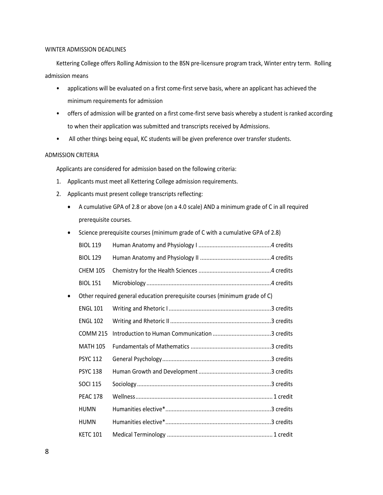#### WINTER ADMISSION DEADLINES

Kettering College offers Rolling Admission to the BSN pre-licensure program track, Winter entry term. Rolling admission means

- applications will be evaluated on a first come-first serve basis, where an applicant has achieved the minimum requirements for admission
- offers of admission will be granted on a first come-first serve basis whereby a student is ranked according to when their application was submitted and transcripts received by Admissions.
- All other things being equal, KC students will be given preference over transfer students.

#### ADMISSION CRITERIA

Applicants are considered for admission based on the following criteria:

- 1. Applicants must meet all Kettering College admission requirements.
- 2. Applicants must present college transcripts reflecting:
	- A cumulative GPA of 2.8 or above (on a 4.0 scale) AND a minimum grade of C in all required prerequisite courses.

| $\bullet$ |                 | Science prerequisite courses (minimum grade of C with a cumulative GPA of 2.8) |
|-----------|-----------------|--------------------------------------------------------------------------------|
|           | <b>BIOL 119</b> |                                                                                |
|           | <b>BIOL 129</b> |                                                                                |
|           | <b>CHEM 105</b> |                                                                                |
|           | <b>BIOL 151</b> |                                                                                |
| $\bullet$ |                 | Other required general education prerequisite courses (minimum grade of C)     |
|           | <b>ENGL 101</b> |                                                                                |
|           | <b>ENGL 102</b> |                                                                                |
|           | <b>COMM 215</b> |                                                                                |
|           | <b>MATH 105</b> |                                                                                |
|           | <b>PSYC 112</b> |                                                                                |
|           | <b>PSYC 138</b> |                                                                                |
|           | <b>SOCI 115</b> |                                                                                |
|           | <b>PEAC 178</b> |                                                                                |
|           | <b>HUMN</b>     |                                                                                |
|           | <b>HUMN</b>     |                                                                                |
|           | <b>KETC 101</b> |                                                                                |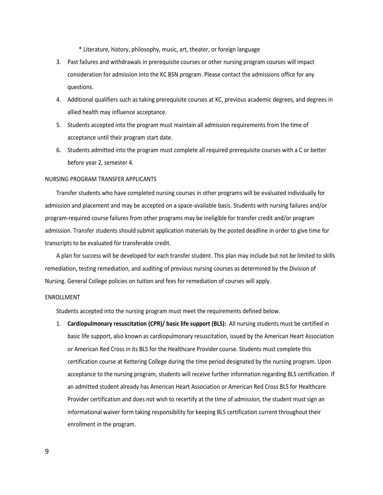\* Literature, history, philosophy, music, art, theater, or foreign language

- 3. Past failures and withdrawals in prerequisite courses or other nursing program courses will impact consideration for admission into the KC BSN program. Please contact the admissions office for any questions.
- 4. Additional qualifiers such as taking prerequisite courses at KC, previous academic degrees, and degrees in allied health may influence acceptance.
- 5. Students accepted into the program must maintain all admission requirements from the time of acceptance until their program start date.
- 6. Students admitted into the program must complete all required prerequisite courses with a C or better before year 2, semester 4.

#### NURSING PROGRAM TRANSFER APPLICANTS

Transfer students who have completed nursing courses in other programs will be evaluated individually for admission and placement and may be accepted on a space-available basis. Students with nursing failures and/or program-required course failures from other programs may be ineligible for transfer credit and/or program admission. Transfer students should submit application materials by the posted deadline in order to give time for transcripts to be evaluated for transferable credit.

A plan for success will be developed for each transfer student. This plan may include but not be limited to skills remediation, testing remediation, and auditing of previous nursing courses as determined by the Division of Nursing. General College policies on tuition and fees for remediation of courses will apply.

#### ENROLLMENT

Students accepted into the nursing program must meet the requirements defined below.

1. **Cardiopulmonary resuscitation (CPR)/ basic life support (BLS):** All nursing students must be certified in basic life support, also known as cardiopulmonary resuscitation, issued by the American Heart Association or American Red Cross in its BLS for the Healthcare Provider course. Students must complete this certification course at Kettering College during the time period designated by the nursing program. Upon acceptance to the nursing program, students will receive further information regarding BLS certification. If an admitted student already has American Heart Association or American Red Cross BLS for Healthcare Provider certification and does not wish to recertify at the time of admission, the student must sign an informational waiver form taking responsibility for keeping BLS certification current throughout their enrollment in the program.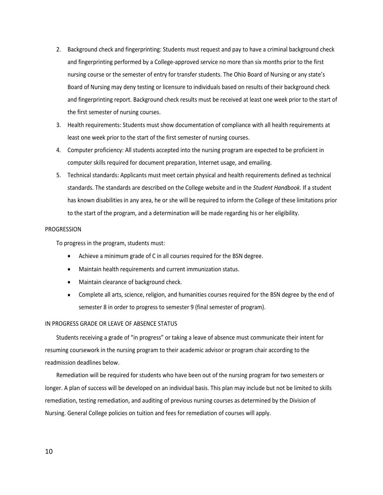- 2. Background check and fingerprinting: Students must request and pay to have a criminal background check and fingerprinting performed by a College-approved service no more than six months prior to the first nursing course or the semester of entry for transfer students. The Ohio Board of Nursing or any state's Board of Nursing may deny testing or licensure to individuals based on results of their background check and fingerprinting report. Background check results must be received at least one week prior to the start of the first semester of nursing courses.
- 3. Health requirements: Students must show documentation of compliance with all health requirements at least one week prior to the start of the first semester of nursing courses.
- 4. Computer proficiency: All students accepted into the nursing program are expected to be proficient in computer skills required for document preparation, Internet usage, and emailing.
- 5. Technical standards: Applicants must meet certain physical and health requirements defined as technical standards. The standards are described on the College website and in the *Student Handbook.* If a student has known disabilities in any area, he or she will be required to inform the College of these limitations prior to the start of the program, and a determination will be made regarding his or her eligibility.

#### PROGRESSION

To progress in the program, students must:

- Achieve a minimum grade of C in all courses required for the BSN degree.
- Maintain health requirements and current immunization status.
- Maintain clearance of background check.
- Complete all arts, science, religion, and humanities courses required for the BSN degree by the end of semester 8 in order to progress to semester 9 (final semester of program).

#### IN PROGRESS GRADE OR LEAVE OF ABSENCE STATUS

Students receiving a grade of "in progress" or taking a leave of absence must communicate their intent for resuming coursework in the nursing program to their academic advisor or program chair according to the readmission deadlines below.

Remediation will be required for students who have been out of the nursing program for two semesters or longer. A plan of success will be developed on an individual basis. This plan may include but not be limited to skills remediation, testing remediation, and auditing of previous nursing courses as determined by the Division of Nursing. General College policies on tuition and fees for remediation of courses will apply.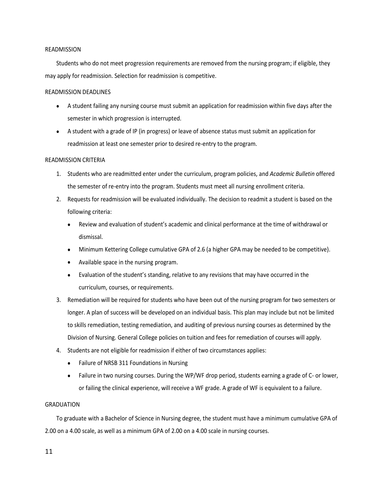#### READMISSION

Students who do not meet progression requirements are removed from the nursing program; if eligible, they may apply for readmission. Selection for readmission is competitive.

#### READMISSION DEADLINES

- A student failing any nursing course must submit an application for readmission within five days after the semester in which progression is interrupted.
- A student with a grade of IP (in progress) or leave of absence status must submit an application for readmission at least one semester prior to desired re-entry to the program.

#### READMISSION CRITERIA

- 1. Students who are readmitted enter under the curriculum, program policies, and *Academic Bulletin* offered the semester of re-entry into the program. Students must meet all nursing enrollment criteria.
- 2. Requests for readmission will be evaluated individually. The decision to readmit a student is based on the following criteria:
	- Review and evaluation of student's academic and clinical performance at the time of withdrawal or dismissal.
	- Minimum Kettering College cumulative GPA of 2.6 (a higher GPA may be needed to be competitive).
	- Available space in the nursing program.
	- Evaluation of the student's standing, relative to any revisions that may have occurred in the curriculum, courses, or requirements.
- 3. Remediation will be required for students who have been out of the nursing program for two semesters or longer. A plan of success will be developed on an individual basis. This plan may include but not be limited to skills remediation, testing remediation, and auditing of previous nursing courses as determined by the Division of Nursing. General College policies on tuition and fees for remediation of courses will apply.
- 4. Students are not eligible for readmission if either of two circumstances applies:
	- Failure of NRSB 311 Foundations in Nursing
	- Failure in two nursing courses. During the WP/WF drop period, students earning a grade of C- or lower, or failing the clinical experience, will receive a WF grade. A grade of WF is equivalent to a failure.

#### GRADUATION

To graduate with a Bachelor of Science in Nursing degree, the student must have a minimum cumulative GPA of 2.00 on a 4.00 scale, as well as a minimum GPA of 2.00 on a 4.00 scale in nursing courses.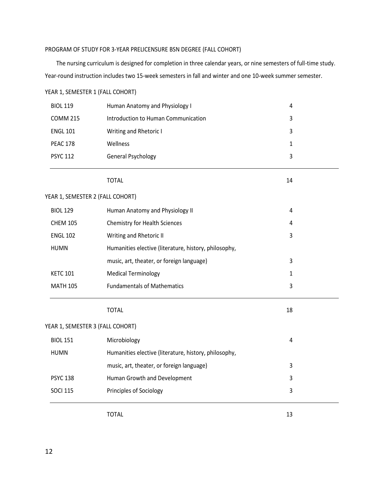### PROGRAM OF STUDY FOR 3-YEAR PRELICENSURE BSN DEGREE (FALL COHORT)

The nursing curriculum is designed for completion in three calendar years, or nine semesters of full-time study. Year-round instruction includes two 15-week semesters in fall and winter and one 10-week summer semester.

| YEAR 1, SEMESTER 1 (FALL COHORT) |                                                       |                |  |
|----------------------------------|-------------------------------------------------------|----------------|--|
| <b>BIOL 119</b>                  | Human Anatomy and Physiology I                        | $\overline{4}$ |  |
| <b>COMM 215</b>                  | Introduction to Human Communication                   | 3              |  |
| <b>ENGL 101</b>                  | Writing and Rhetoric I                                | 3              |  |
| <b>PEAC 178</b>                  | Wellness                                              | 1              |  |
| <b>PSYC 112</b>                  | <b>General Psychology</b>                             | 3              |  |
|                                  | <b>TOTAL</b>                                          | 14             |  |
| YEAR 1, SEMESTER 2 (FALL COHORT) |                                                       |                |  |
| <b>BIOL 129</b>                  | Human Anatomy and Physiology II                       | 4              |  |
| <b>CHEM 105</b>                  | Chemistry for Health Sciences                         | 4              |  |
| <b>ENGL 102</b>                  | Writing and Rhetoric II                               | 3              |  |
| <b>HUMN</b>                      | Humanities elective (literature, history, philosophy, |                |  |
|                                  | music, art, theater, or foreign language)             | 3              |  |
| <b>KETC 101</b>                  | <b>Medical Terminology</b>                            | $\mathbf{1}$   |  |
| <b>MATH 105</b>                  | <b>Fundamentals of Mathematics</b>                    | 3              |  |
|                                  | <b>TOTAL</b>                                          | 18             |  |
| YEAR 1, SEMESTER 3 (FALL COHORT) |                                                       |                |  |
| <b>BIOL 151</b>                  | Microbiology                                          | 4              |  |
| <b>HUMN</b>                      | Humanities elective (literature, history, philosophy, |                |  |
|                                  | music, art, theater, or foreign language)             | 3              |  |
| <b>PSYC 138</b>                  | Human Growth and Development                          | 3              |  |
| <b>SOCI 115</b>                  | Principles of Sociology                               | 3              |  |

TOTAL 13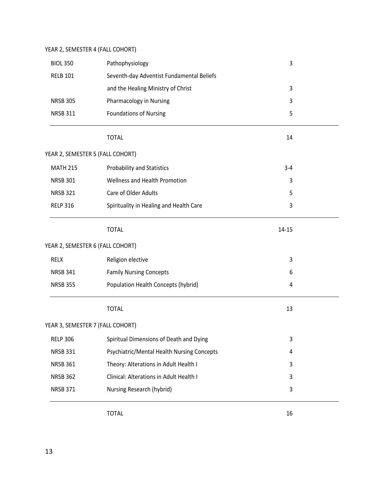### YEAR 2, SEMESTER 4 (FALL COHORT)

| <b>BIOL 350</b>                  | Pathophysiology                            | 3         |  |
|----------------------------------|--------------------------------------------|-----------|--|
| <b>RELB 101</b>                  | Seventh-day Adventist Fundamental Beliefs  |           |  |
|                                  | and the Healing Ministry of Christ         | 3         |  |
| <b>NRSB 305</b>                  | Pharmacology in Nursing                    | 3         |  |
| <b>NRSB 311</b>                  | <b>Foundations of Nursing</b>              | 5         |  |
|                                  | <b>TOTAL</b>                               | 14        |  |
| YEAR 2, SEMESTER 5 (FALL COHORT) |                                            |           |  |
| <b>MATH 215</b>                  | <b>Probability and Statistics</b>          | $3 - 4$   |  |
| <b>NRSB 301</b>                  | Wellness and Health Promotion              | 3         |  |
| <b>NRSB 321</b>                  | Care of Older Adults                       | 5         |  |
| <b>RELP 316</b>                  | Spirituality in Healing and Health Care    | 3         |  |
|                                  | <b>TOTAL</b>                               | $14 - 15$ |  |
| YEAR 2, SEMESTER 6 (FALL COHORT) |                                            |           |  |
| <b>RELX</b>                      | Religion elective                          | 3         |  |
| <b>NRSB 341</b>                  | <b>Family Nursing Concepts</b>             | 6         |  |
| <b>NRSB 355</b>                  | Population Health Concepts (hybrid)        | 4         |  |
|                                  | <b>TOTAL</b>                               | 13        |  |
| YEAR 3, SEMESTER 7 (FALL COHORT) |                                            |           |  |
| <b>RELP 306</b>                  | Spiritual Dimensions of Death and Dying    | 3         |  |
| <b>NRSB 331</b>                  | Psychiatric/Mental Health Nursing Concepts | 4         |  |
| <b>NRSB 361</b>                  | Theory: Alterations in Adult Health I      | 3         |  |
| <b>NRSB 362</b>                  | Clinical: Alterations in Adult Health I    | 3         |  |
| <b>NRSB 371</b>                  | Nursing Research (hybrid)                  | 3         |  |
|                                  |                                            |           |  |

TOTAL 16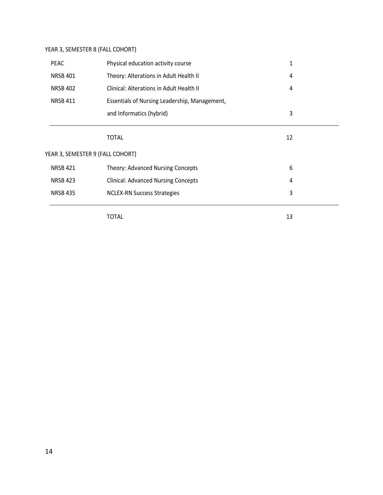### YEAR 3, SEMESTER 8 (FALL COHORT)

| <b>PEAC</b>     | Physical education activity course            | 1  |
|-----------------|-----------------------------------------------|----|
| <b>NRSB 401</b> | Theory: Alterations in Adult Health II        | 4  |
| <b>NRSB 402</b> | Clinical: Alterations in Adult Health II      | 4  |
| <b>NRSB 411</b> | Essentials of Nursing Leadership, Management, |    |
|                 | and Informatics (hybrid)                      | 3  |
|                 | <b>TOTAL</b>                                  | 12 |
|                 | YEAR 3, SEMESTER 9 (FALL COHORT)              |    |
| <b>NRSB 421</b> | <b>Theory: Advanced Nursing Concepts</b>      | 6  |
| <b>NRSB 423</b> | <b>Clinical: Advanced Nursing Concepts</b>    | 4  |
| <b>NRSB 435</b> | <b>NCLEX-RN Success Strategies</b>            | 3  |

TOTAL 13

14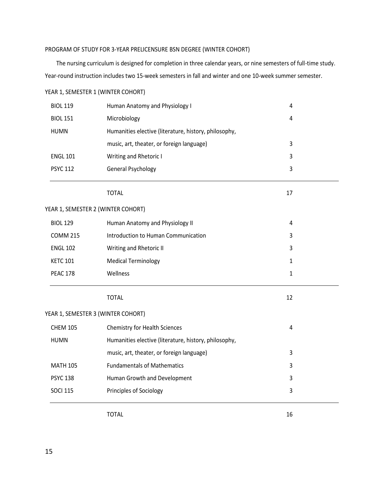### PROGRAM OF STUDY FOR 3-YEAR PRELICENSURE BSN DEGREE (WINTER COHORT)

The nursing curriculum is designed for completion in three calendar years, or nine semesters of full-time study. Year-round instruction includes two 15-week semesters in fall and winter and one 10-week summer semester.

| <b>BIOL 119</b> | Human Anatomy and Physiology I                        | 4            |  |
|-----------------|-------------------------------------------------------|--------------|--|
| <b>BIOL 151</b> | Microbiology                                          | 4            |  |
| <b>HUMN</b>     | Humanities elective (literature, history, philosophy, |              |  |
|                 | music, art, theater, or foreign language)             | 3            |  |
| <b>ENGL 101</b> | Writing and Rhetoric I                                | 3            |  |
| <b>PSYC 112</b> | General Psychology                                    | 3            |  |
|                 | <b>TOTAL</b>                                          | 17           |  |
|                 | YEAR 1, SEMESTER 2 (WINTER COHORT)                    |              |  |
| <b>BIOL 129</b> | Human Anatomy and Physiology II                       | 4            |  |
| <b>COMM 215</b> | Introduction to Human Communication                   | 3            |  |
| <b>ENGL 102</b> | Writing and Rhetoric II                               | 3            |  |
| <b>KETC 101</b> | <b>Medical Terminology</b>                            | $\mathbf{1}$ |  |
| <b>PEAC 178</b> | Wellness                                              | $\mathbf{1}$ |  |
|                 | <b>TOTAL</b>                                          | 12           |  |
|                 | YEAR 1, SEMESTER 3 (WINTER COHORT)                    |              |  |
| <b>CHEM 105</b> | Chemistry for Health Sciences                         | 4            |  |
| <b>HUMN</b>     | Humanities elective (literature, history, philosophy, |              |  |
|                 | music, art, theater, or foreign language)             | 3            |  |
| <b>MATH 105</b> | <b>Fundamentals of Mathematics</b>                    | 3            |  |
| <b>PSYC 138</b> | Human Growth and Development                          | 3            |  |
| <b>SOCI 115</b> | Principles of Sociology                               | 3            |  |
|                 |                                                       |              |  |

YEAR 1, SEMESTER 1 (WINTER COHORT)

TOTAL 16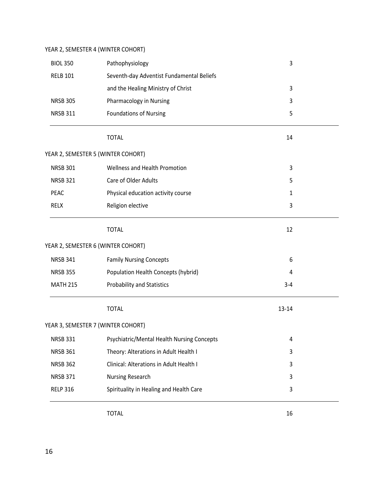### YEAR 2, SEMESTER 4 (WINTER COHORT)

| <b>BIOL 350</b> | Pathophysiology                            | 3       |  |
|-----------------|--------------------------------------------|---------|--|
| <b>RELB 101</b> | Seventh-day Adventist Fundamental Beliefs  |         |  |
|                 | and the Healing Ministry of Christ         | 3       |  |
| <b>NRSB 305</b> | Pharmacology in Nursing                    | 3       |  |
| <b>NRSB 311</b> | <b>Foundations of Nursing</b>              | 5       |  |
|                 | <b>TOTAL</b>                               | 14      |  |
|                 | YEAR 2, SEMESTER 5 (WINTER COHORT)         |         |  |
| <b>NRSB 301</b> | Wellness and Health Promotion              | 3       |  |
| <b>NRSB 321</b> | Care of Older Adults                       | 5       |  |
| PEAC            | Physical education activity course         | 1       |  |
| <b>RELX</b>     | Religion elective                          | 3       |  |
|                 | <b>TOTAL</b>                               | 12      |  |
|                 | YEAR 2, SEMESTER 6 (WINTER COHORT)         |         |  |
| <b>NRSB 341</b> | <b>Family Nursing Concepts</b>             | 6       |  |
| <b>NRSB 355</b> | Population Health Concepts (hybrid)        | 4       |  |
| <b>MATH 215</b> | <b>Probability and Statistics</b>          | $3 - 4$ |  |
|                 | <b>TOTAL</b>                               | 13-14   |  |
|                 | YEAR 3, SEMESTER 7 (WINTER COHORT)         |         |  |
| <b>NRSB 331</b> | Psychiatric/Mental Health Nursing Concepts | 4       |  |
| <b>NRSB 361</b> | Theory: Alterations in Adult Health I      | 3       |  |
| <b>NRSB 362</b> | Clinical: Alterations in Adult Health I    | 3       |  |
| <b>NRSB 371</b> | Nursing Research                           | 3       |  |
| <b>RELP 316</b> | Spirituality in Healing and Health Care    | 3       |  |
|                 |                                            |         |  |

TOTAL 16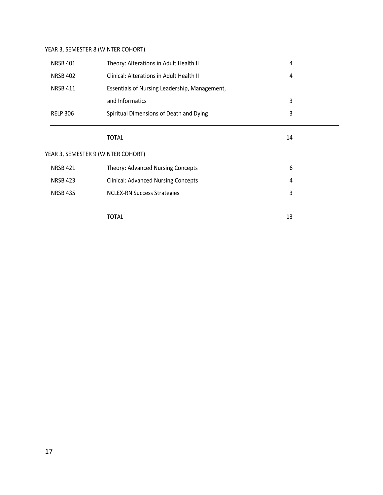### YEAR 3, SEMESTER 8 (WINTER COHORT)

| <b>NRSB 401</b> | Theory: Alterations in Adult Health II        | 4  |  |
|-----------------|-----------------------------------------------|----|--|
| <b>NRSB 402</b> | Clinical: Alterations in Adult Health II      | 4  |  |
| <b>NRSB 411</b> | Essentials of Nursing Leadership, Management, |    |  |
|                 | and Informatics                               | 3  |  |
| <b>RELP 306</b> | Spiritual Dimensions of Death and Dying       | 3  |  |
|                 | <b>TOTAL</b>                                  | 14 |  |
|                 | YEAR 3, SEMESTER 9 (WINTER COHORT)            |    |  |
| <b>NRSB 421</b> | <b>Theory: Advanced Nursing Concepts</b>      | 6  |  |
| <b>NRSB 423</b> | <b>Clinical: Advanced Nursing Concepts</b>    | 4  |  |
| <b>NRSB 435</b> | <b>NCLEX-RN Success Strategies</b>            | 3  |  |
|                 | TOTAL                                         | 13 |  |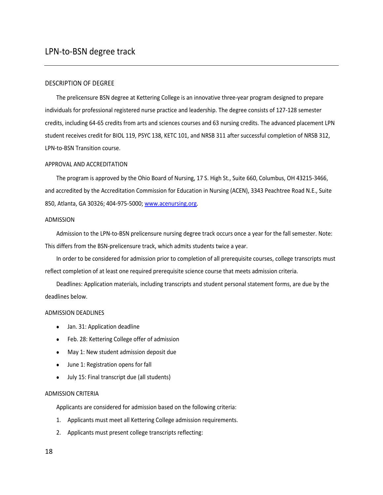#### DESCRIPTION OF DEGREE

The prelicensure BSN degree at Kettering College is an innovative three-year program designed to prepare individuals for professional registered nurse practice and leadership. The degree consists of 127-128 semester credits, including 64-65 credits from arts and sciences courses and 63 nursing credits. The advanced placement LPN student receives credit for BIOL 119, PSYC 138, KETC 101, and NRSB 311 after successful completion of NRSB 312, LPN-to-BSN Transition course.

#### APPROVAL AND ACCREDITATION

The program is approved by the Ohio Board of Nursing, 17 S. High St., Suite 660, Columbus, OH 43215-3466, and accredited by the Accreditation Commission for Education in Nursing (ACEN), 3343 Peachtree Road N.E., Suite 850, Atlanta, GA 30326; 404-975-5000; [www.acenursing.org.](http://www.acenursing.org/)

#### ADMISSION

Admission to the LPN-to-BSN prelicensure nursing degree track occurs once a year for the fall semester. Note: This differs from the BSN-prelicensure track, which admits students twice a year.

In order to be considered for admission prior to completion of all prerequisite courses, college transcripts must reflect completion of at least one required prerequisite science course that meets admission criteria.

Deadlines: Application materials, including transcripts and student personal statement forms, are due by the deadlines below.

#### ADMISSION DEADLINES

- Jan. 31: Application deadline
- Feb. 28: Kettering College offer of admission
- May 1: New student admission deposit due
- June 1: Registration opens for fall
- July 15: Final transcript due (all students)

#### ADMISSION CRITERIA

Applicants are considered for admission based on the following criteria:

- 1. Applicants must meet all Kettering College admission requirements.
- 2. Applicants must present college transcripts reflecting: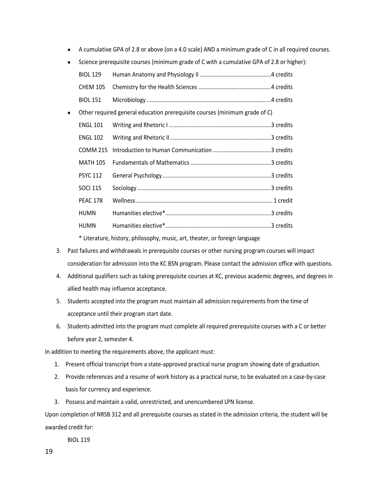- A cumulative GPA of 2.8 or above (on a 4.0 scale) AND a minimum grade of C in all required courses.
- Science prerequisite courses (minimum grade of C with a cumulative GPA of 2.8 or higher):

|           | <b>BIOL 129</b> |                                                                            |  |
|-----------|-----------------|----------------------------------------------------------------------------|--|
|           | <b>CHEM 105</b> |                                                                            |  |
|           | <b>BIOL 151</b> |                                                                            |  |
| $\bullet$ |                 | Other required general education prerequisite courses (minimum grade of C) |  |
|           | <b>ENGL 101</b> |                                                                            |  |
|           | <b>ENGL 102</b> |                                                                            |  |
|           | <b>COMM 215</b> |                                                                            |  |
|           | <b>MATH 105</b> |                                                                            |  |
|           | <b>PSYC 112</b> |                                                                            |  |
|           | <b>SOCI 115</b> |                                                                            |  |
|           | <b>PEAC 178</b> |                                                                            |  |
|           | <b>HUMN</b>     |                                                                            |  |
|           | <b>HUMN</b>     |                                                                            |  |
|           |                 |                                                                            |  |

\* Literature, history, philosophy, music, art, theater, or foreign language

- 3. Past failures and withdrawals in prerequisite courses or other nursing program courses will impact consideration for admission into the KC BSN program. Please contact the admission office with questions.
- 4. Additional qualifiers such as taking prerequisite courses at KC, previous academic degrees, and degrees in allied health may influence acceptance.
- 5. Students accepted into the program must maintain all admission requirements from the time of acceptance until their program start date.
- 6. Students admitted into the program must complete all required prerequisite courses with a C or better before year 2, semester 4.

In addition to meeting the requirements above, the applicant must:

- 1. Present official transcript from a state-approved practical nurse program showing date of graduation.
- 2. Provide references and a resume of work history as a practical nurse, to be evaluated on a case-by-case basis for currency and experience.
- 3. Possess and maintain a valid, unrestricted, and unencumbered LPN license.

Upon completion of NRSB 312 and all prerequisite courses as stated in the admission criteria, the student will be awarded credit for:

BIOL 119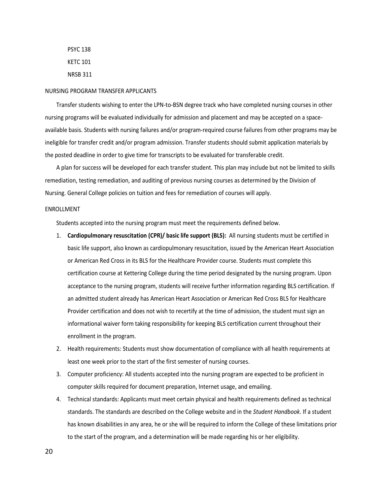PSYC 138 KETC 101 NRSB 311

#### NURSING PROGRAM TRANSFER APPLICANTS

Transfer students wishing to enter the LPN-to-BSN degree track who have completed nursing courses in other nursing programs will be evaluated individually for admission and placement and may be accepted on a spaceavailable basis. Students with nursing failures and/or program-required course failures from other programs may be ineligible for transfer credit and/or program admission. Transfer students should submit application materials by the posted deadline in order to give time for transcripts to be evaluated for transferable credit.

A plan for success will be developed for each transfer student. This plan may include but not be limited to skills remediation, testing remediation, and auditing of previous nursing courses as determined by the Division of Nursing. General College policies on tuition and fees for remediation of courses will apply.

#### ENROLLMENT

Students accepted into the nursing program must meet the requirements defined below.

- 1. **Cardiopulmonary resuscitation (CPR)/ basic life support (BLS):** All nursing students must be certified in basic life support, also known as cardiopulmonary resuscitation, issued by the American Heart Association or American Red Cross in its BLS for the Healthcare Provider course. Students must complete this certification course at Kettering College during the time period designated by the nursing program. Upon acceptance to the nursing program, students will receive further information regarding BLS certification. If an admitted student already has American Heart Association or American Red Cross BLS for Healthcare Provider certification and does not wish to recertify at the time of admission, the student must sign an informational waiver form taking responsibility for keeping BLS certification current throughout their enrollment in the program.
- 2. Health requirements: Students must show documentation of compliance with all health requirements at least one week prior to the start of the first semester of nursing courses.
- 3. Computer proficiency: All students accepted into the nursing program are expected to be proficient in computer skills required for document preparation, Internet usage, and emailing.
- 4. Technical standards: Applicants must meet certain physical and health requirements defined as technical standards. The standards are described on the College website and in the *Student Handbook.* If a student has known disabilities in any area, he or she will be required to inform the College of these limitations prior to the start of the program, and a determination will be made regarding his or her eligibility.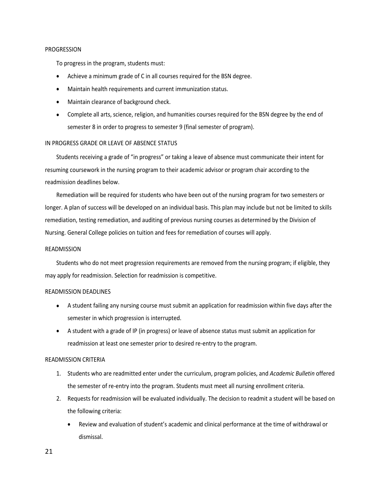#### PROGRESSION

To progress in the program, students must:

- Achieve a minimum grade of C in all courses required for the BSN degree.
- Maintain health requirements and current immunization status.
- Maintain clearance of background check.
- Complete all arts, science, religion, and humanities courses required for the BSN degree by the end of semester 8 in order to progress to semester 9 (final semester of program).

#### IN PROGRESS GRADE OR LEAVE OF ABSENCE STATUS

Students receiving a grade of "in progress" or taking a leave of absence must communicate their intent for resuming coursework in the nursing program to their academic advisor or program chair according to the readmission deadlines below.

Remediation will be required for students who have been out of the nursing program for two semesters or longer. A plan of success will be developed on an individual basis. This plan may include but not be limited to skills remediation, testing remediation, and auditing of previous nursing courses as determined by the Division of Nursing. General College policies on tuition and fees for remediation of courses will apply.

#### READMISSION

Students who do not meet progression requirements are removed from the nursing program; if eligible, they may apply for readmission. Selection for readmission is competitive.

#### READMISSION DEADLINES

- A student failing any nursing course must submit an application for readmission within five days after the semester in which progression is interrupted.
- A student with a grade of IP (in progress) or leave of absence status must submit an application for readmission at least one semester prior to desired re-entry to the program.

#### READMISSION CRITERIA

- 1. Students who are readmitted enter under the curriculum, program policies, and *Academic Bulletin* offered the semester of re-entry into the program. Students must meet all nursing enrollment criteria.
- 2. Requests for readmission will be evaluated individually. The decision to readmit a student will be based on the following criteria:
	- Review and evaluation of student's academic and clinical performance at the time of withdrawal or dismissal.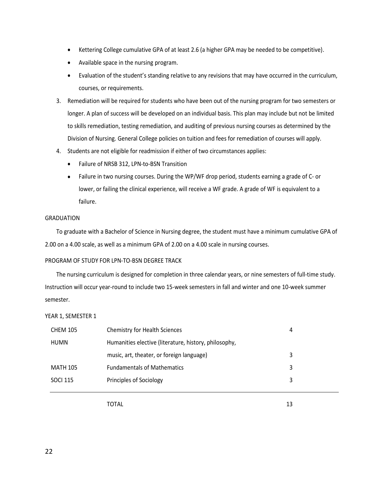- Kettering College cumulative GPA of at least 2.6 (a higher GPA may be needed to be competitive).
- Available space in the nursing program.
- Evaluation of the student's standing relative to any revisions that may have occurred in the curriculum, courses, or requirements.
- 3. Remediation will be required for students who have been out of the nursing program for two semesters or longer. A plan of success will be developed on an individual basis. This plan may include but not be limited to skills remediation, testing remediation, and auditing of previous nursing courses as determined by the Division of Nursing. General College policies on tuition and fees for remediation of courses will apply.
- 4. Students are not eligible for readmission if either of two circumstances applies:
	- Failure of NRSB 312, LPN-to-BSN Transition
	- Failure in two nursing courses. During the WP/WF drop period, students earning a grade of C- or lower, or failing the clinical experience, will receive a WF grade. A grade of WF is equivalent to a failure.

#### GRADUATION

To graduate with a Bachelor of Science in Nursing degree, the student must have a minimum cumulative GPA of 2.00 on a 4.00 scale, as well as a minimum GPA of 2.00 on a 4.00 scale in nursing courses.

#### PROGRAM OF STUDY FOR LPN-TO-BSN DEGREE TRACK

The nursing curriculum is designed for completion in three calendar years, or nine semesters of full-time study. Instruction will occur year-round to include two 15-week semesters in fall and winter and one 10-week summer semester.

YEAR 1, SEMESTER 1

| <b>CHEM 105</b> | <b>Chemistry for Health Sciences</b>                  | 4 |
|-----------------|-------------------------------------------------------|---|
| HUMN            | Humanities elective (literature, history, philosophy, |   |
|                 | music, art, theater, or foreign language)             | 3 |
| <b>MATH 105</b> | <b>Fundamentals of Mathematics</b>                    | 3 |
| <b>SOCI 115</b> | Principles of Sociology                               | 3 |
|                 |                                                       |   |

TOTAL 13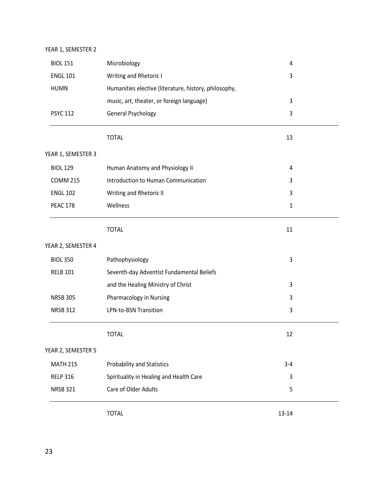#### YEAR 1, SEMESTER 2

| <b>BIOL 151</b>    | Microbiology                                          | 4       |  |
|--------------------|-------------------------------------------------------|---------|--|
| <b>ENGL 101</b>    | Writing and Rhetoric I                                | 3       |  |
| <b>HUMN</b>        | Humanities elective (literature, history, philosophy, |         |  |
|                    | music, art, theater, or foreign language)             | 3       |  |
| <b>PSYC 112</b>    | <b>General Psychology</b>                             | 3       |  |
|                    | <b>TOTAL</b>                                          | 13      |  |
| YEAR 1, SEMESTER 3 |                                                       |         |  |
| <b>BIOL 129</b>    | Human Anatomy and Physiology II                       | 4       |  |
| <b>COMM 215</b>    | Introduction to Human Communication                   | 3       |  |
| <b>ENGL 102</b>    | Writing and Rhetoric II                               | 3       |  |
| <b>PEAC 178</b>    | Wellness                                              | 1       |  |
|                    | <b>TOTAL</b>                                          | 11      |  |
| YEAR 2, SEMESTER 4 |                                                       |         |  |
| <b>BIOL 350</b>    | Pathophysiology                                       | 3       |  |
| <b>RELB 101</b>    | Seventh-day Adventist Fundamental Beliefs             |         |  |
|                    | and the Healing Ministry of Christ                    | 3       |  |
| <b>NRSB 305</b>    | Pharmacology in Nursing                               | 3       |  |
| <b>NRSB 312</b>    | <b>LPN-to-BSN Transition</b>                          | 3       |  |
|                    | <b>TOTAL</b>                                          | 12      |  |
| YEAR 2, SEMESTER 5 |                                                       |         |  |
| <b>MATH 215</b>    | <b>Probability and Statistics</b>                     | $3 - 4$ |  |
| <b>RELP 316</b>    | Spirituality in Healing and Health Care               | 3       |  |
| <b>NRSB 321</b>    | Care of Older Adults                                  | 5       |  |
|                    | <b>TOTAL</b>                                          | 13-14   |  |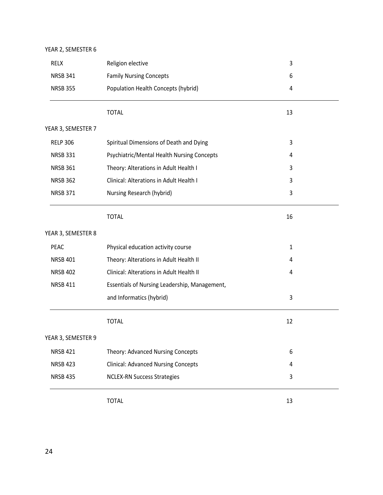| YEAR 2, SEMESTER 6 |                                               |    |  |
|--------------------|-----------------------------------------------|----|--|
| <b>RELX</b>        | Religion elective                             | 3  |  |
| <b>NRSB 341</b>    | <b>Family Nursing Concepts</b>                | 6  |  |
| <b>NRSB 355</b>    | Population Health Concepts (hybrid)           | 4  |  |
|                    | <b>TOTAL</b>                                  | 13 |  |
| YEAR 3, SEMESTER 7 |                                               |    |  |
| <b>RELP 306</b>    | Spiritual Dimensions of Death and Dying       | 3  |  |
| <b>NRSB 331</b>    | Psychiatric/Mental Health Nursing Concepts    | 4  |  |
| <b>NRSB 361</b>    | Theory: Alterations in Adult Health I         | 3  |  |
| <b>NRSB 362</b>    | Clinical: Alterations in Adult Health I       | 3  |  |
| <b>NRSB 371</b>    | Nursing Research (hybrid)                     | 3  |  |
|                    | <b>TOTAL</b>                                  | 16 |  |
| YEAR 3, SEMESTER 8 |                                               |    |  |
| PEAC               | Physical education activity course            | 1  |  |
| <b>NRSB 401</b>    | Theory: Alterations in Adult Health II        | 4  |  |
| <b>NRSB 402</b>    | Clinical: Alterations in Adult Health II      | 4  |  |
| <b>NRSB 411</b>    | Essentials of Nursing Leadership, Management, |    |  |
|                    | and Informatics (hybrid)                      | 3  |  |
|                    | <b>TOTAL</b>                                  | 12 |  |
| YEAR 3, SEMESTER 9 |                                               |    |  |
| <b>NRSB 421</b>    | Theory: Advanced Nursing Concepts             | 6  |  |
| <b>NRSB 423</b>    | <b>Clinical: Advanced Nursing Concepts</b>    | 4  |  |
| <b>NRSB 435</b>    | <b>NCLEX-RN Success Strategies</b>            | 3  |  |
|                    |                                               |    |  |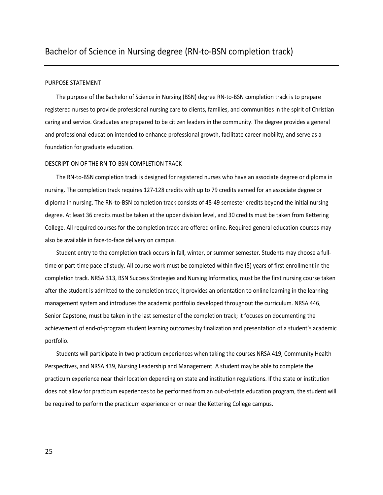#### PURPOSE STATEMENT

The purpose of the Bachelor of Science in Nursing (BSN) degree RN-to-BSN completion track is to prepare registered nurses to provide professional nursing care to clients, families, and communities in the spirit of Christian caring and service. Graduates are prepared to be citizen leaders in the community. The degree provides a general and professional education intended to enhance professional growth, facilitate career mobility, and serve as a foundation for graduate education.

#### DESCRIPTION OF THE RN-TO-BSN COMPLETION TRACK

The RN-to-BSN completion track is designed for registered nurses who have an associate degree or diploma in nursing. The completion track requires 127-128 credits with up to 79 credits earned for an associate degree or diploma in nursing. The RN-to-BSN completion track consists of 48-49 semester credits beyond the initial nursing degree. At least 36 credits must be taken at the upper division level, and 30 credits must be taken from Kettering College. All required courses for the completion track are offered online. Required general education courses may also be available in face-to-face delivery on campus.

Student entry to the completion track occurs in fall, winter, or summer semester. Students may choose a fulltime or part-time pace of study. All course work must be completed within five (5) years of first enrollment in the completion track. NRSA 313, BSN Success Strategies and Nursing Informatics, must be the first nursing course taken after the student is admitted to the completion track; it provides an orientation to online learning in the learning management system and introduces the academic portfolio developed throughout the curriculum. NRSA 446, Senior Capstone, must be taken in the last semester of the completion track; it focuses on documenting the achievement of end-of-program student learning outcomes by finalization and presentation of a student's academic portfolio.

Students will participate in two practicum experiences when taking the courses NRSA 419, Community Health Perspectives, and NRSA 439, Nursing Leadership and Management. A student may be able to complete the practicum experience near their location depending on state and institution regulations. If the state or institution does not allow for practicum experiences to be performed from an out-of-state education program, the student will be required to perform the practicum experience on or near the Kettering College campus.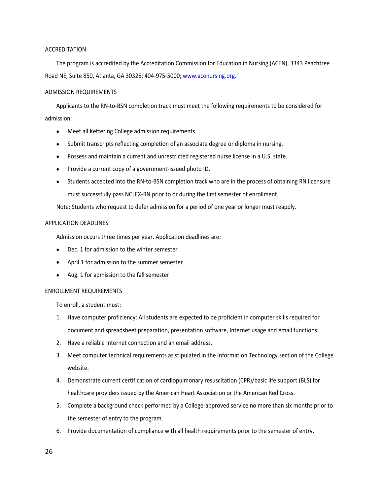#### ACCREDITATION

The program is accredited by the Accreditation Commission for Education in Nursing (ACEN), 3343 Peachtree Road NE, Suite 850, Atlanta, GA 30326; 404-975-5000[; www.acenursing.org.](http://www.acenursing.org/)

#### ADMISSION REQUIREMENTS

Applicants to the RN-to-BSN completion track must meet the following requirements to be considered for admission:

- Meet all Kettering College admission requirements.
- Submit transcripts reflecting completion of an associate degree or diploma in nursing.
- Possess and maintain a current and unrestricted registered nurse license in a U.S. state.
- Provide a current copy of a government-issued photo ID.
- Students accepted into the RN-to-BSN completion track who are in the process of obtaining RN licensure must successfully pass NCLEX-RN prior to or during the first semester of enrollment.

Note: Students who request to defer admission for a period of one year or longer must reapply.

#### APPLICATION DEADLINES

Admission occurs three times per year. Application deadlines are:

- Dec. 1 for admission to the winter semester
- April 1 for admission to the summer semester
- Aug. 1 for admission to the fall semester

#### ENROLLMENT REQUIREMENTS

To enroll, a student must:

- 1. Have computer proficiency: All students are expected to be proficient in computer skills required for document and spreadsheet preparation, presentation software, Internet usage and email functions.
- 2. Have a reliable Internet connection and an email address.
- 3. Meet computer technical requirements as stipulated in the Information Technology section of the College website.
- 4. Demonstrate current certification of cardiopulmonary resuscitation (CPR)/basic life support (BLS) for healthcare providers issued by the American Heart Association or the American Red Cross.
- 5. Complete a background check performed by a College-approved service no more than six months prior to the semester of entry to the program.
- 6. Provide documentation of compliance with all health requirements prior to the semester of entry.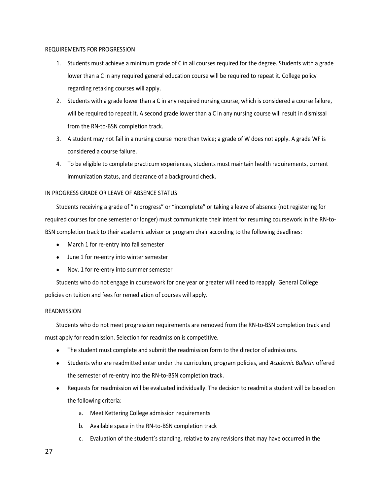#### REQUIREMENTS FOR PROGRESSION

- 1. Students must achieve a minimum grade of C in all courses required for the degree. Students with a grade lower than a C in any required general education course will be required to repeat it. College policy regarding retaking courses will apply.
- 2. Students with a grade lower than a C in any required nursing course, which is considered a course failure, will be required to repeat it. A second grade lower than a C in any nursing course will result in dismissal from the RN-to-BSN completion track.
- 3. A student may not fail in a nursing course more than twice; a grade of W does not apply. A grade WF is considered a course failure.
- 4. To be eligible to complete practicum experiences, students must maintain health requirements, current immunization status, and clearance of a background check.

#### IN PROGRESS GRADE OR LEAVE OF ABSENCE STATUS

Students receiving a grade of "in progress" or "incomplete" or taking a leave of absence (not registering for required courses for one semester or longer) must communicate their intent for resuming coursework in the RN-to-BSN completion track to their academic advisor or program chair according to the following deadlines:

- March 1 for re-entry into fall semester
- June 1 for re-entry into winter semester
- Nov. 1 for re-entry into summer semester

Students who do not engage in coursework for one year or greater will need to reapply. General College policies on tuition and fees for remediation of courses will apply.

#### READMISSION

Students who do not meet progression requirements are removed from the RN-to-BSN completion track and must apply for readmission. Selection for readmission is competitive.

- The student must complete and submit the readmission form to the director of admissions.
- Students who are readmitted enter under the curriculum, program policies, and *Academic Bulletin* offered the semester of re-entry into the RN-to-BSN completion track.
- Requests for readmission will be evaluated individually. The decision to readmit a student will be based on the following criteria:
	- a. Meet Kettering College admission requirements
	- b. Available space in the RN-to-BSN completion track
	- c. Evaluation of the student's standing, relative to any revisions that may have occurred in the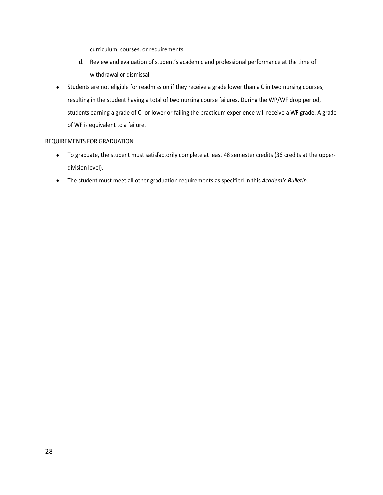curriculum, courses, or requirements

- d. Review and evaluation of student's academic and professional performance at the time of withdrawal or dismissal
- Students are not eligible for readmission if they receive a grade lower than a C in two nursing courses, resulting in the student having a total of two nursing course failures. During the WP/WF drop period, students earning a grade of C- or lower or failing the practicum experience will receive a WF grade. A grade of WF is equivalent to a failure.

#### REQUIREMENTS FOR GRADUATION

- To graduate, the student must satisfactorily complete at least 48 semester credits (36 credits at the upperdivision level).
- The student must meet all other graduation requirements as specified in this *Academic Bulletin.*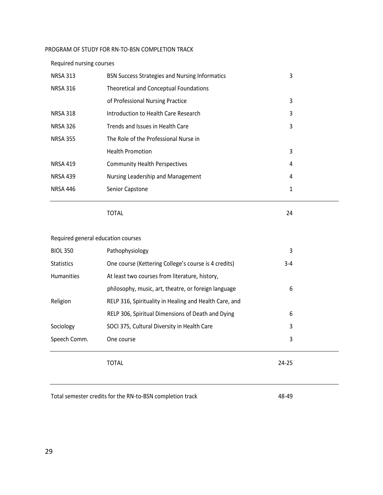#### PROGRAM OF STUDY FOR RN-TO-BSN COMPLETION TRACK

#### Required nursing courses

| <b>NRSA 313</b> | <b>BSN Success Strategies and Nursing Informatics</b> | 3 |
|-----------------|-------------------------------------------------------|---|
| <b>NRSA 316</b> | Theoretical and Conceptual Foundations                |   |
|                 | of Professional Nursing Practice                      | 3 |
| <b>NRSA 318</b> | Introduction to Health Care Research                  | 3 |
| <b>NRSA 326</b> | Trends and Issues in Health Care                      | 3 |
| <b>NRSA 355</b> | The Role of the Professional Nurse in                 |   |
|                 | <b>Health Promotion</b>                               | 3 |
| <b>NRSA 419</b> | <b>Community Health Perspectives</b>                  | 4 |
| <b>NRSA 439</b> | Nursing Leadership and Management                     | 4 |
| <b>NRSA 446</b> | Senior Capstone                                       | 1 |
|                 |                                                       |   |

TOTAL 24

#### Required general education courses

| <b>BIOL 350</b>   | Pathophysiology                                        | 3       |  |
|-------------------|--------------------------------------------------------|---------|--|
| <b>Statistics</b> | One course (Kettering College's course is 4 credits)   | $3 - 4$ |  |
| <b>Humanities</b> | At least two courses from literature, history,         |         |  |
|                   | philosophy, music, art, theatre, or foreign language   | 6       |  |
| Religion          | RELP 316, Spirituality in Healing and Health Care, and |         |  |
|                   | RELP 306, Spiritual Dimensions of Death and Dying      | 6       |  |
| Sociology         | SOCI 375, Cultural Diversity in Health Care            | 3       |  |
| Speech Comm.      | One course                                             | 3       |  |
|                   | TOTAL                                                  | 24-25   |  |

Total semester credits for the RN-to-BSN completion track 48-49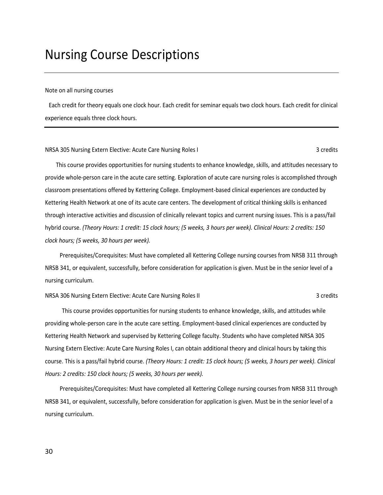### <span id="page-29-0"></span>Nursing Course Descriptions

#### Note on all nursing courses

Each credit for theory equals one clock hour. Each credit for seminar equals two clock hours. Each credit for clinical experience equals three clock hours.

#### NRSA 305 Nursing Extern Elective: Acute Care Nursing Roles I 3 credits 3 credits

This course provides opportunities for nursing students to enhance knowledge, skills, and attitudes necessary to provide whole-person care in the acute care setting. Exploration of acute care nursing roles is accomplished through classroom presentations offered by Kettering College. Employment-based clinical experiences are conducted by Kettering Health Network at one of its acute care centers. The development of critical thinking skills is enhanced through interactive activities and discussion of clinically relevant topics and current nursing issues. This is a pass/fail hybrid course. *(Theory Hours: 1 credit: 15 clock hours; (5 weeks, 3 hours per week). Clinical Hours: 2 credits: 150 clock hours; (5 weeks, 30 hours per week).*

Prerequisites/Corequisites: Must have completed all Kettering College nursing courses from NRSB 311 through NRSB 341, or equivalent, successfully, before consideration for application is given. Must be in the senior level of a nursing curriculum.

NRSA 306 Nursing Extern Elective: Acute Care Nursing Roles II 3 credits 3 credits

This course provides opportunities for nursing students to enhance knowledge, skills, and attitudes while providing whole-person care in the acute care setting. Employment-based clinical experiences are conducted by Kettering Health Network and supervised by Kettering College faculty. Students who have completed NRSA 305 Nursing Extern Elective: Acute Care Nursing Roles I, can obtain additional theory and clinical hours by taking this course. This is a pass/fail hybrid course. *(Theory Hours: 1 credit: 15 clock hours; (5 weeks, 3 hours per week). Clinical Hours: 2 credits: 150 clock hours; (5 weeks, 30 hours per week).*

Prerequisites/Corequisites: Must have completed all Kettering College nursing courses from NRSB 311 through NRSB 341, or equivalent, successfully, before consideration for application is given. Must be in the senior level of a nursing curriculum.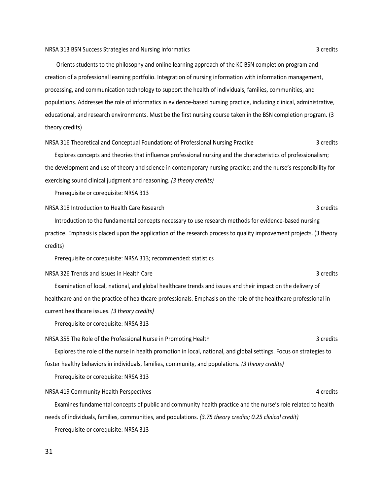Orients students to the philosophy and online learning approach of the KC BSN completion program and creation of a professional learning portfolio. Integration of nursing information with information management, processing, and communication technology to support the health of individuals, families, communities, and populations. Addresses the role of informatics in evidence-based nursing practice, including clinical, administrative, educational, and research environments. Must be the first nursing course taken in the BSN completion program. (3 theory credits)

NRSA 316 Theoretical and Conceptual Foundations of Professional Nursing Practice 3 credits

Explores concepts and theories that influence professional nursing and the characteristics of professionalism; the development and use of theory and science in contemporary nursing practice; and the nurse's responsibility for exercising sound clinical judgment and reasoning. *(3 theory credits)*

Prerequisite or corequisite: NRSA 313

NRSA 318 Introduction to Health Care Research 3 credits

Introduction to the fundamental concepts necessary to use research methods for evidence-based nursing practice. Emphasis is placed upon the application of the research process to quality improvement projects. (3 theory credits)

Prerequisite or corequisite: NRSA 313; recommended: statistics

NRSA 326 Trends and Issues in Health Care 3 credits and 1 and 2 credits and 1 and 2 credits and 1 and 3 credits

Examination of local, national, and global healthcare trends and issues and their impact on the delivery of healthcare and on the practice of healthcare professionals. Emphasis on the role of the healthcare professional in current healthcare issues. *(3 theory credits)*

Prerequisite or corequisite: NRSA 313

NRSA 355 The Role of the Professional Nurse in Promoting Health 3 credits 3 credits

Explores the role of the nurse in health promotion in local, national, and global settings. Focus on strategies to foster healthy behaviors in individuals, families, community, and populations. *(3 theory credits)*

Prerequisite or corequisite: NRSA 313

NRSA 419 Community Health Perspectives 4 credits 4 credits

Examines fundamental concepts of public and community health practice and the nurse's role related to health needs of individuals, families, communities, and populations. *(3.75 theory credits; 0.25 clinical credit)*

Prerequisite or corequisite: NRSA 313

31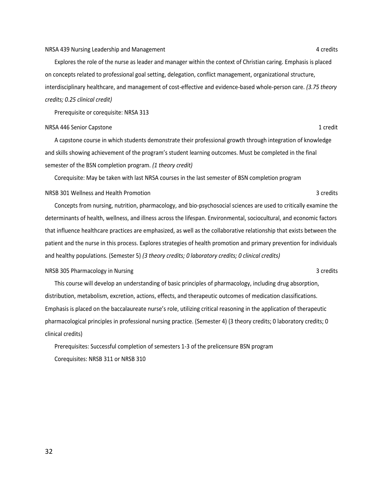#### NRSA 439 Nursing Leadership and Management 4 credits and Management 4 credits

Explores the role of the nurse as leader and manager within the context of Christian caring. Emphasis is placed on concepts related to professional goal setting, delegation, conflict management, organizational structure, interdisciplinary healthcare, and management of cost-effective and evidence-based whole-person care. *(3.75 theory credits; 0.25 clinical credit)*

Prerequisite or corequisite: NRSA 313

#### NRSA 446 Senior Capstone 1 credit and 2 credit and 2 credit and 2 credit and 2 credit and 2 credit and 2 credit

A capstone course in which students demonstrate their professional growth through integration of knowledge and skills showing achievement of the program's student learning outcomes. Must be completed in the final semester of the BSN completion program. *(1 theory credit)*

Corequisite: May be taken with last NRSA courses in the last semester of BSN completion program

#### NRSB 301 Wellness and Health Promotion 3 credits

Concepts from nursing, nutrition, pharmacology, and bio-psychosocial sciences are used to critically examine the determinants of health, wellness, and illness across the lifespan. Environmental, sociocultural, and economic factors that influence healthcare practices are emphasized, as well as the collaborative relationship that exists between the patient and the nurse in this process. Explores strategies of health promotion and primary prevention for individuals and healthy populations. (Semester 5) *(3 theory credits; 0 laboratory credits; 0 clinical credits)*

#### NRSB 305 Pharmacology in Nursing 3 credits 3 credits 3 credits

This course will develop an understanding of basic principles of pharmacology, including drug absorption, distribution, metabolism, excretion, actions, effects, and therapeutic outcomes of medication classifications. Emphasis is placed on the baccalaureate nurse's role, utilizing critical reasoning in the application of therapeutic pharmacological principles in professional nursing practice. (Semester 4) (3 theory credits; 0 laboratory credits; 0 clinical credits)

Prerequisites: Successful completion of semesters 1-3 of the prelicensure BSN program Corequisites: NRSB 311 or NRSB 310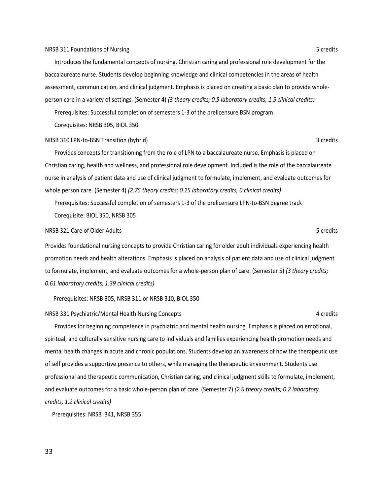#### NRSB 311 Foundations of Nursing 5 credits and 5 credits in the state of the state of the state of the state of the state of the state of the state of the state of the state of the state of the state of the state of the sta

Introduces the fundamental concepts of nursing, Christian caring and professional role development for the baccalaureate nurse. Students develop beginning knowledge and clinical competencies in the areas of health assessment, communication, and clinical judgment. Emphasis is placed on creating a basic plan to provide wholeperson care in a variety of settings. (Semester 4) *(3 theory credits; 0.5 laboratory credits, 1.5 clinical credits)* 

Prerequisites: Successful completion of semesters 1-3 of the prelicensure BSN program

Corequisites: NRSB 305, BIOL 350

#### NRSB 310 LPN-to-BSN Transition (hybrid) 3 credits

Provides concepts for transitioning from the role of LPN to a baccalaureate nurse. Emphasis is placed on Christian caring, health and wellness, and professional role development. Included is the role of the baccalaureate nurse in analysis of patient data and use of clinical judgment to formulate, implement, and evaluate outcomes for whole person care. (Semester 4) *(2.75 theory credits; 0.25 laboratory credits, 0 clinical credits)*

Prerequisites: Successful completion of semesters 1-3 of the prelicensure LPN-to-BSN degree track Corequisite: BIOL 350, NRSB 305

#### NRSB 321 Care of Older Adults **5 credits** 5 credits 5 credits 3

Provides foundational nursing concepts to provide Christian caring for older adult individuals experiencing health promotion needs and health alterations. Emphasis is placed on analysis of patient data and use of clinical judgment to formulate, implement, and evaluate outcomes for a whole-person plan of care. (Semester 5) *(3 theory credits; 0.61 laboratory credits, 1.39 clinical credits)*

Prerequisites: NRSB 305, NRSB 311 or NRSB 310, BIOL 350

NRSB 331 Psychiatric/Mental Health Nursing Concepts 4 credits 4 credits

Provides for beginning competence in psychiatric and mental health nursing. Emphasis is placed on emotional, spiritual, and culturally sensitive nursing care to individuals and families experiencing health promotion needs and mental health changes in acute and chronic populations. Students develop an awareness of how the therapeutic use of self provides a supportive presence to others, while managing the therapeutic environment. Students use professional and therapeutic communication, Christian caring, and clinical judgment skills to formulate, implement, and evaluate outcomes for a basic whole-person plan of care. (Semester 7) *(2.6 theory credits; 0.2 laboratory credits, 1.2 clinical credits)*

Prerequisites: NRSB 341, NRSB 355

33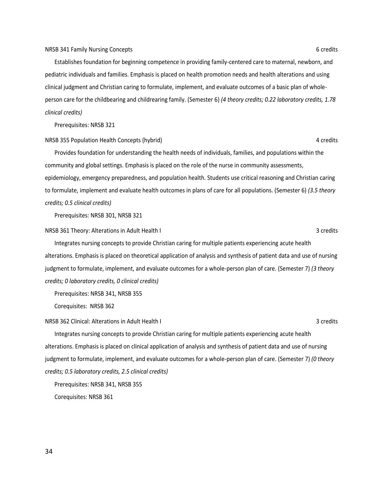Establishes foundation for beginning competence in providing family-centered care to maternal, newborn, and pediatric individuals and families. Emphasis is placed on health promotion needs and health alterations and using clinical judgment and Christian caring to formulate, implement, and evaluate outcomes of a basic plan of wholeperson care for the childbearing and childrearing family. (Semester 6) *(4 theory credits; 0.22 laboratory credits, 1.78 clinical credits)*

Prerequisites: NRSB 321

#### NRSB 355 Population Health Concepts (hybrid) 4 credits

Provides foundation for understanding the health needs of individuals, families, and populations within the community and global settings. Emphasis is placed on the role of the nurse in community assessments, epidemiology, emergency preparedness, and population health. Students use critical reasoning and Christian caring to formulate, implement and evaluate health outcomes in plans of care for all populations. (Semester 6) *(3.5 theory credits; 0.5 clinical credits)*

Prerequisites: NRSB 301, NRSB 321

NRSB 361 Theory: Alterations in Adult Health I 3 credits 3 credits

Integrates nursing concepts to provide Christian caring for multiple patients experiencing acute health alterations. Emphasis is placed on theoretical application of analysis and synthesis of patient data and use of nursing judgment to formulate, implement, and evaluate outcomes for a whole-person plan of care. (Semester 7) *(3 theory credits; 0 laboratory credits, 0 clinical credits)*

Prerequisites: NRSB 341, NRSB 355

Corequisites: NRSB 362

#### NRSB 362 Clinical: Alterations in Adult Health I 3 credits 3 credits

Integrates nursing concepts to provide Christian caring for multiple patients experiencing acute health alterations. Emphasis is placed on clinical application of analysis and synthesis of patient data and use of nursing judgment to formulate, implement, and evaluate outcomes for a whole-person plan of care. (Semester 7) *(0 theory credits; 0.5 laboratory credits, 2.5 clinical credits)*

Prerequisites: NRSB 341, NRSB 355

Corequisites: NRSB 361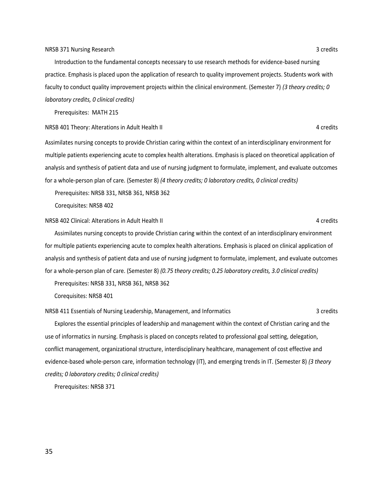#### NRSB 371 Nursing Research 3 credits

Introduction to the fundamental concepts necessary to use research methods for evidence-based nursing practice. Emphasis is placed upon the application of research to quality improvement projects. Students work with faculty to conduct quality improvement projects within the clinical environment. (Semester 7) *(3 theory credits; 0 laboratory credits, 0 clinical credits)*

Prerequisites: MATH 215

NRSB 401 Theory: Alterations in Adult Health II 4 credits and the state of the state of the state of the state of the state of the state of the state of the state of the state of the state of the state of the state of the

Assimilates nursing concepts to provide Christian caring within the context of an interdisciplinary environment for multiple patients experiencing acute to complex health alterations. Emphasis is placed on theoretical application of analysis and synthesis of patient data and use of nursing judgment to formulate, implement, and evaluate outcomes for a whole-person plan of care. (Semester 8) *(4 theory credits; 0 laboratory credits, 0 clinical credits)*

Prerequisites: NRSB 331, NRSB 361, NRSB 362

Corequisites: NRSB 402

NRSB 402 Clinical: Alterations in Adult Health II 4 credits and the state of the state of the 4 credits

Assimilates nursing concepts to provide Christian caring within the context of an interdisciplinary environment for multiple patients experiencing acute to complex health alterations. Emphasis is placed on clinical application of analysis and synthesis of patient data and use of nursing judgment to formulate, implement, and evaluate outcomes for a whole-person plan of care. (Semester 8) *(0.75 theory credits; 0.25 laboratory credits, 3.0 clinical credits)*

Prerequisites: NRSB 331, NRSB 361, NRSB 362

Corequisites: NRSB 401

NRSB 411 Essentials of Nursing Leadership, Management, and Informatics 3 credits 3 credits

Explores the essential principles of leadership and management within the context of Christian caring and the use of informatics in nursing. Emphasis is placed on concepts related to professional goal setting, delegation, conflict management, organizational structure, interdisciplinary healthcare, management of cost effective and evidence-based whole-person care, information technology (IT), and emerging trends in IT. (Semester 8) *(3 theory credits; 0 laboratory credits; 0 clinical credits)*

Prerequisites: NRSB 371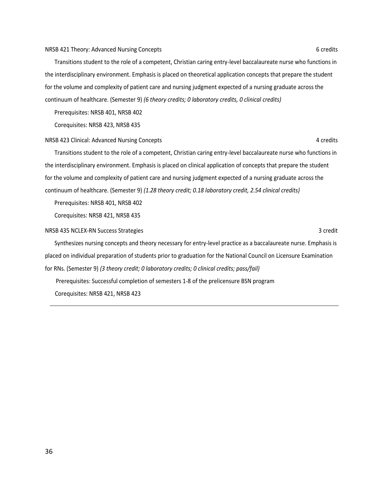#### NRSB 421 Theory: Advanced Nursing Concepts 6 credits 6 credits 6 credits

Transitions student to the role of a competent, Christian caring entry-level baccalaureate nurse who functions in the interdisciplinary environment. Emphasis is placed on theoretical application concepts that prepare the student for the volume and complexity of patient care and nursing judgment expected of a nursing graduate across the continuum of healthcare. (Semester 9) *(6 theory credits; 0 laboratory credits, 0 clinical credits)*

Prerequisites: NRSB 401, NRSB 402

Corequisites: NRSB 423, NRSB 435

#### NRSB 423 Clinical: Advanced Nursing Concepts **4** credits 4 credits 4 credits

Transitions student to the role of a competent, Christian caring entry-level baccalaureate nurse who functions in the interdisciplinary environment. Emphasis is placed on clinical application of concepts that prepare the student for the volume and complexity of patient care and nursing judgment expected of a nursing graduate across the continuum of healthcare. (Semester 9) *(1.28 theory credit; 0.18 laboratory credit, 2.54 clinical credits)*

Prerequisites: NRSB 401, NRSB 402

Corequisites: NRSB 421, NRSB 435

#### NRSB 435 NCLEX-RN Success Strategies 3 credit 3 credit 3 credit 3 credit 3 credit

Synthesizes nursing concepts and theory necessary for entry-level practice as a baccalaureate nurse. Emphasis is placed on individual preparation of students prior to graduation for the National Council on Licensure Examination for RNs. (Semester 9) *(3 theory credit; 0 laboratory credits; 0 clinical credits; pass/fail)*

Prerequisites: Successful completion of semesters 1-8 of the prelicensure BSN program Corequisites: NRSB 421, NRSB 423